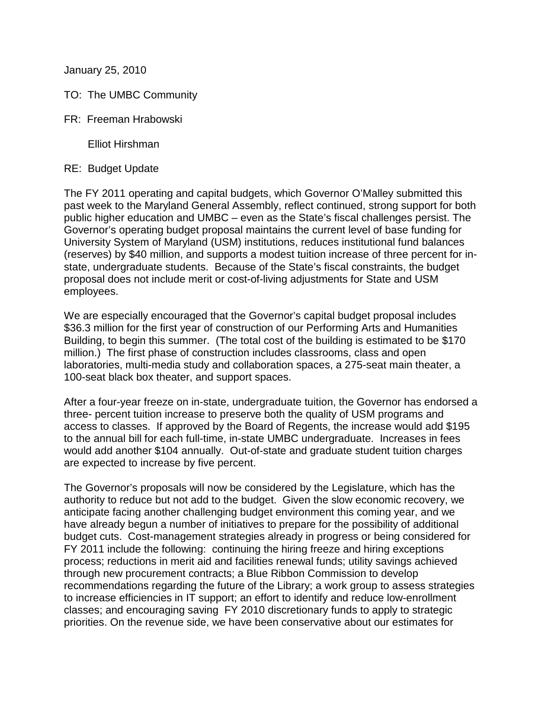January 25, 2010

- TO: The UMBC Community
- FR: Freeman Hrabowski

Elliot Hirshman

RE: Budget Update

The FY 2011 operating and capital budgets, which Governor O'Malley submitted this past week to the Maryland General Assembly, reflect continued, strong support for both public higher education and UMBC – even as the State's fiscal challenges persist. The Governor's operating budget proposal maintains the current level of base funding for University System of Maryland (USM) institutions, reduces institutional fund balances (reserves) by \$40 million, and supports a modest tuition increase of three percent for instate, undergraduate students. Because of the State's fiscal constraints, the budget proposal does not include merit or cost-of-living adjustments for State and USM employees.

We are especially encouraged that the Governor's capital budget proposal includes \$36.3 million for the first year of construction of our Performing Arts and Humanities Building, to begin this summer. (The total cost of the building is estimated to be \$170 million.) The first phase of construction includes classrooms, class and open laboratories, multi-media study and collaboration spaces, a 275-seat main theater, a 100-seat black box theater, and support spaces.

After a four-year freeze on in-state, undergraduate tuition, the Governor has endorsed a three- percent tuition increase to preserve both the quality of USM programs and access to classes. If approved by the Board of Regents, the increase would add \$195 to the annual bill for each full-time, in-state UMBC undergraduate. Increases in fees would add another \$104 annually. Out-of-state and graduate student tuition charges are expected to increase by five percent.

The Governor's proposals will now be considered by the Legislature, which has the authority to reduce but not add to the budget. Given the slow economic recovery, we anticipate facing another challenging budget environment this coming year, and we have already begun a number of initiatives to prepare for the possibility of additional budget cuts. Cost-management strategies already in progress or being considered for FY 2011 include the following: continuing the hiring freeze and hiring exceptions process; reductions in merit aid and facilities renewal funds; utility savings achieved through new procurement contracts; a Blue Ribbon Commission to develop recommendations regarding the future of the Library; a work group to assess strategies to increase efficiencies in IT support; an effort to identify and reduce low-enrollment classes; and encouraging saving FY 2010 discretionary funds to apply to strategic priorities. On the revenue side, we have been conservative about our estimates for